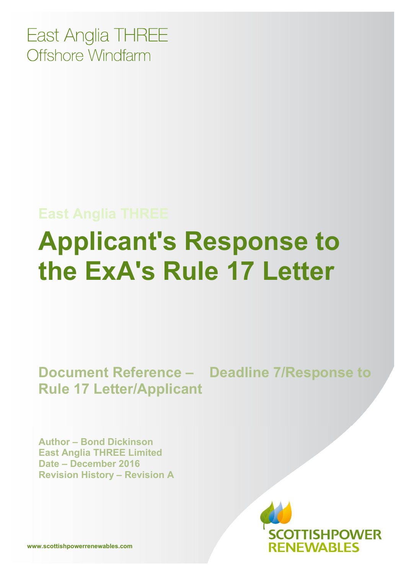East Anglia THREE Offshore Windfarm

# **East Anglia THREE Applicant's Response to the ExA's Rule 17 Letter**

#### **Document Reference – Deadline 7/Response to Rule 17 Letter/Applicant**

**Author – Bond Dickinson East Anglia THREE Limited Date – December 2016 Revision History – Revision A**



**www.scottishpowerrenewables.com**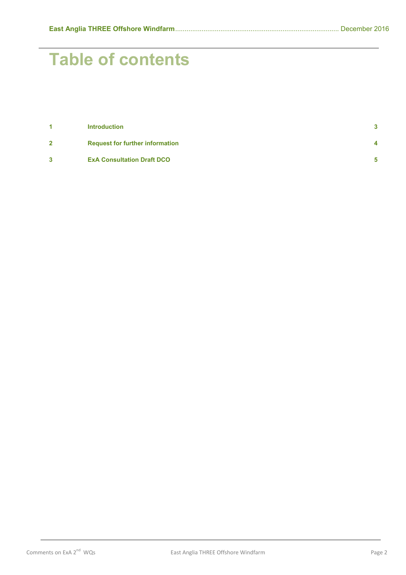## **Table of contents**

| 4            | <b>Introduction</b>                    | $\mathbf{3}$   |
|--------------|----------------------------------------|----------------|
| $\mathbf{2}$ | <b>Request for further information</b> | $\overline{4}$ |
| 3            | <b>ExA Consultation Draft DCO</b>      | 5              |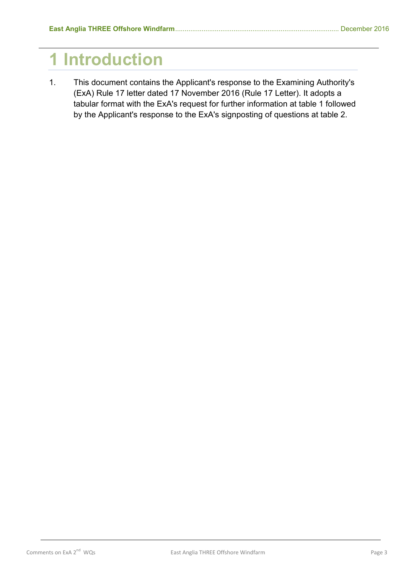### **1 Introduction**

1. This document contains the Applicant's response to the Examining Authority's (ExA) Rule 17 letter dated 17 November 2016 (Rule 17 Letter). It adopts a tabular format with the ExA's request for further information at table 1 followed by the Applicant's response to the ExA's signposting of questions at table 2.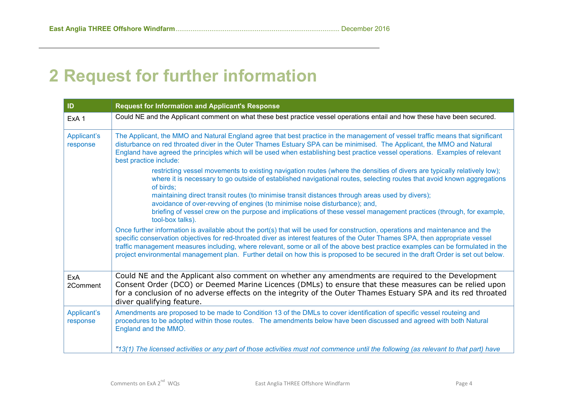### **2 Request for further information**

<span id="page-3-0"></span>

| ID                      | <b>Request for Information and Applicant's Response</b>                                                                                                                                                                                                                                                                                                                                                                                                                                                                                |
|-------------------------|----------------------------------------------------------------------------------------------------------------------------------------------------------------------------------------------------------------------------------------------------------------------------------------------------------------------------------------------------------------------------------------------------------------------------------------------------------------------------------------------------------------------------------------|
| ExA <sub>1</sub>        | Could NE and the Applicant comment on what these best practice vessel operations entail and how these have been secured.                                                                                                                                                                                                                                                                                                                                                                                                               |
| Applicant's<br>response | The Applicant, the MMO and Natural England agree that best practice in the management of vessel traffic means that significant<br>disturbance on red throated diver in the Outer Thames Estuary SPA can be minimised. The Applicant, the MMO and Natural<br>England have agreed the principles which will be used when establishing best practice vessel operations. Examples of relevant<br>best practice include:                                                                                                                    |
|                         | restricting vessel movements to existing navigation routes (where the densities of divers are typically relatively low);<br>where it is necessary to go outside of established navigational routes, selecting routes that avoid known aggregations<br>of birds;                                                                                                                                                                                                                                                                        |
|                         | maintaining direct transit routes (to minimise transit distances through areas used by divers);<br>avoidance of over-revving of engines (to minimise noise disturbance); and,                                                                                                                                                                                                                                                                                                                                                          |
|                         | briefing of vessel crew on the purpose and implications of these vessel management practices (through, for example,<br>tool-box talks).                                                                                                                                                                                                                                                                                                                                                                                                |
|                         | Once further information is available about the port(s) that will be used for construction, operations and maintenance and the<br>specific conservation objectives for red-throated diver as interest features of the Outer Thames SPA, then appropriate vessel<br>traffic management measures including, where relevant, some or all of the above best practice examples can be formulated in the<br>project environmental management plan. Further detail on how this is proposed to be secured in the draft Order is set out below. |
| ExA<br>2Comment         | Could NE and the Applicant also comment on whether any amendments are required to the Development<br>Consent Order (DCO) or Deemed Marine Licences (DMLs) to ensure that these measures can be relied upon<br>for a conclusion of no adverse effects on the integrity of the Outer Thames Estuary SPA and its red throated<br>diver qualifying feature.                                                                                                                                                                                |
| Applicant's<br>response | Amendments are proposed to be made to Condition 13 of the DMLs to cover identification of specific vessel routeing and<br>procedures to be adopted within those routes. The amendments below have been discussed and agreed with both Natural<br>England and the MMO.                                                                                                                                                                                                                                                                  |
|                         | "13(1) The licensed activities or any part of those activities must not commence until the following (as relevant to that part) have                                                                                                                                                                                                                                                                                                                                                                                                   |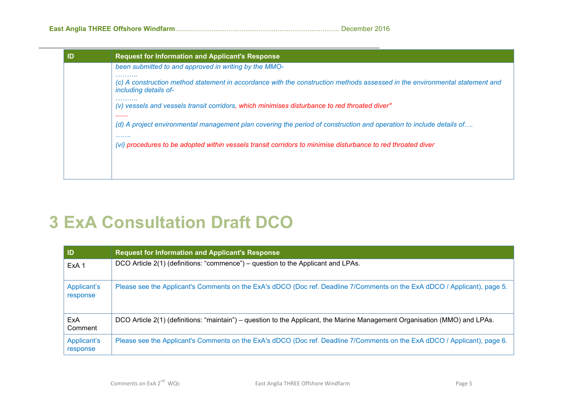| ID | <b>Request for Information and Applicant's Response</b>                                                                                                   |
|----|-----------------------------------------------------------------------------------------------------------------------------------------------------------|
|    | been submitted to and approved in writing by the MMO-                                                                                                     |
|    | .<br>(c) A construction method statement in accordance with the construction methods assessed in the environmental statement and<br>including details of- |
|    | .<br>(v) vessels and vessels transit corridors, which minimises disturbance to red throated diver"<br>                                                    |
|    | (d) A project environmental management plan covering the period of construction and operation to include details of<br>.                                  |
|    | (vi) procedures to be adopted within vessels transit corridors to minimise disturbance to red throated diver                                              |
|    |                                                                                                                                                           |
|    |                                                                                                                                                           |

### **3 ExA Consultation Draft DCO**

<span id="page-4-0"></span>

| $\blacksquare$          | <b>Request for Information and Applicant's Response</b>                                                                    |
|-------------------------|----------------------------------------------------------------------------------------------------------------------------|
| ExA <sub>1</sub>        | DCO Article 2(1) (definitions: "commence") – question to the Applicant and LPAs.                                           |
| Applicant's<br>response | Please see the Applicant's Comments on the ExA's dDCO (Doc ref. Deadline 7/Comments on the ExA dDCO / Applicant), page 5.  |
| ExA<br>Comment          | DCO Article 2(1) (definitions: "maintain") – question to the Applicant, the Marine Management Organisation (MMO) and LPAs. |
| Applicant's<br>response | Please see the Applicant's Comments on the ExA's dDCO (Doc ref. Deadline 7/Comments on the ExA dDCO / Applicant), page 6.  |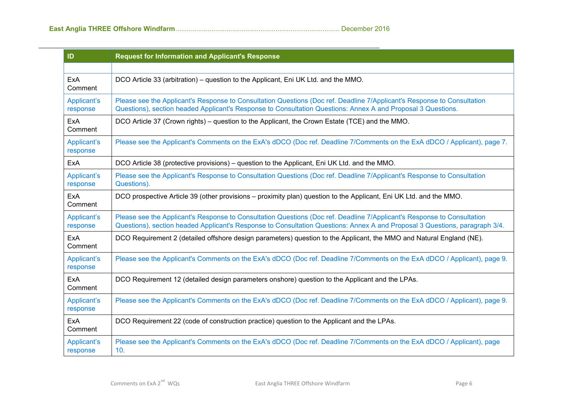| ID                      | <b>Request for Information and Applicant's Response</b>                                                                                                                                                                                                |
|-------------------------|--------------------------------------------------------------------------------------------------------------------------------------------------------------------------------------------------------------------------------------------------------|
|                         |                                                                                                                                                                                                                                                        |
| <b>ExA</b><br>Comment   | DCO Article 33 (arbitration) – question to the Applicant, Eni UK Ltd. and the MMO.                                                                                                                                                                     |
| Applicant's<br>response | Please see the Applicant's Response to Consultation Questions (Doc ref. Deadline 7/Applicant's Response to Consultation<br>Questions), section headed Applicant's Response to Consultation Questions: Annex A and Proposal 3 Questions.                |
| ExA<br>Comment          | DCO Article 37 (Crown rights) – question to the Applicant, the Crown Estate (TCE) and the MMO.                                                                                                                                                         |
| Applicant's<br>response | Please see the Applicant's Comments on the ExA's dDCO (Doc ref. Deadline 7/Comments on the ExA dDCO / Applicant), page 7.                                                                                                                              |
| ExA                     | DCO Article 38 (protective provisions) – question to the Applicant, Eni UK Ltd. and the MMO.                                                                                                                                                           |
| Applicant's<br>response | Please see the Applicant's Response to Consultation Questions (Doc ref. Deadline 7/Applicant's Response to Consultation<br>Questions).                                                                                                                 |
| ExA<br>Comment          | DCO prospective Article 39 (other provisions – proximity plan) question to the Applicant, Eni UK Ltd. and the MMO.                                                                                                                                     |
| Applicant's<br>response | Please see the Applicant's Response to Consultation Questions (Doc ref. Deadline 7/Applicant's Response to Consultation<br>Questions), section headed Applicant's Response to Consultation Questions: Annex A and Proposal 3 Questions, paragraph 3/4. |
| ExA<br>Comment          | DCO Requirement 2 (detailed offshore design parameters) question to the Applicant, the MMO and Natural England (NE).                                                                                                                                   |
| Applicant's<br>response | Please see the Applicant's Comments on the ExA's dDCO (Doc ref. Deadline 7/Comments on the ExA dDCO / Applicant), page 9.                                                                                                                              |
| ExA<br>Comment          | DCO Requirement 12 (detailed design parameters onshore) question to the Applicant and the LPAs.                                                                                                                                                        |
| Applicant's<br>response | Please see the Applicant's Comments on the ExA's dDCO (Doc ref. Deadline 7/Comments on the ExA dDCO / Applicant), page 9.                                                                                                                              |
| ExA<br>Comment          | DCO Requirement 22 (code of construction practice) question to the Applicant and the LPAs.                                                                                                                                                             |
| Applicant's<br>response | Please see the Applicant's Comments on the ExA's dDCO (Doc ref. Deadline 7/Comments on the ExA dDCO / Applicant), page<br>10.                                                                                                                          |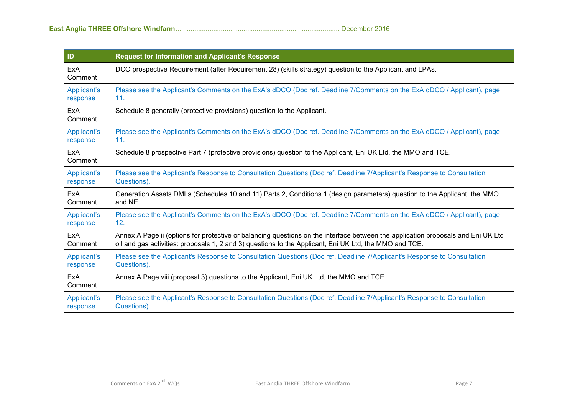| ID                    | <b>Request for Information and Applicant's Response</b>                                                                          |
|-----------------------|----------------------------------------------------------------------------------------------------------------------------------|
| ExA<br>Comment        | DCO prospective Requirement (after Requirement 28) (skills strategy) question to the Applicant and LPAs.                         |
| Applicant's           | Please see the Applicant's Comments on the ExA's dDCO (Doc ref. Deadline 7/Comments on the ExA dDCO / Applicant), page           |
| response              | 11.                                                                                                                              |
| ExA<br>Comment        | Schedule 8 generally (protective provisions) question to the Applicant.                                                          |
| Applicant's           | Please see the Applicant's Comments on the ExA's dDCO (Doc ref. Deadline 7/Comments on the ExA dDCO / Applicant), page           |
| response              | 11.                                                                                                                              |
| <b>ExA</b><br>Comment | Schedule 8 prospective Part 7 (protective provisions) question to the Applicant, Eni UK Ltd, the MMO and TCE.                    |
| Applicant's           | Please see the Applicant's Response to Consultation Questions (Doc ref. Deadline 7/Applicant's Response to Consultation          |
| response              | Questions).                                                                                                                      |
| ExA                   | Generation Assets DMLs (Schedules 10 and 11) Parts 2, Conditions 1 (design parameters) question to the Applicant, the MMO        |
| Comment               | and NE.                                                                                                                          |
| Applicant's           | Please see the Applicant's Comments on the ExA's dDCO (Doc ref. Deadline 7/Comments on the ExA dDCO / Applicant), page           |
| response              | 12.                                                                                                                              |
| ExA                   | Annex A Page ii (options for protective or balancing questions on the interface between the application proposals and Eni UK Ltd |
| Comment               | oil and gas activities: proposals 1, 2 and 3) questions to the Applicant, Eni UK Ltd, the MMO and TCE.                           |
| Applicant's           | Please see the Applicant's Response to Consultation Questions (Doc ref. Deadline 7/Applicant's Response to Consultation          |
| response              | Questions).                                                                                                                      |
| <b>ExA</b><br>Comment | Annex A Page viii (proposal 3) questions to the Applicant, Eni UK Ltd, the MMO and TCE.                                          |
| Applicant's           | Please see the Applicant's Response to Consultation Questions (Doc ref. Deadline 7/Applicant's Response to Consultation          |
| response              | Questions).                                                                                                                      |